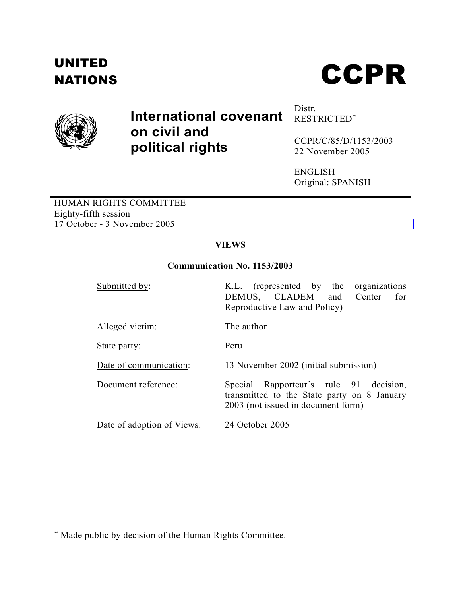# UNITED





# International covenant on civil and political rights

Distr. RESTRICTED\*

CCPR/C/85/D/1153/2003 22 November 2005

ENGLISH Original: SPANISH

HUMAN RIGHTS COMMITTEE Eighty-fifth session 17 October - 3 November 2005

# VIEWS

# Communication No. 1153/2003

| Submitted by:              | organizations<br>K.L. (represented by the<br>DEMUS, CLADEM<br>Center<br>for<br>and<br>Reproductive Law and Policy)          |
|----------------------------|-----------------------------------------------------------------------------------------------------------------------------|
| Alleged victim:            | The author                                                                                                                  |
| State party:               | Peru                                                                                                                        |
| Date of communication:     | 13 November 2002 (initial submission)                                                                                       |
| Document reference:        | Special Rapporteur's rule 91 decision,<br>transmitted to the State party on 8 January<br>2003 (not issued in document form) |
| Date of adoption of Views: | 24 October 2005                                                                                                             |

j \* Made public by decision of the Human Rights Committee.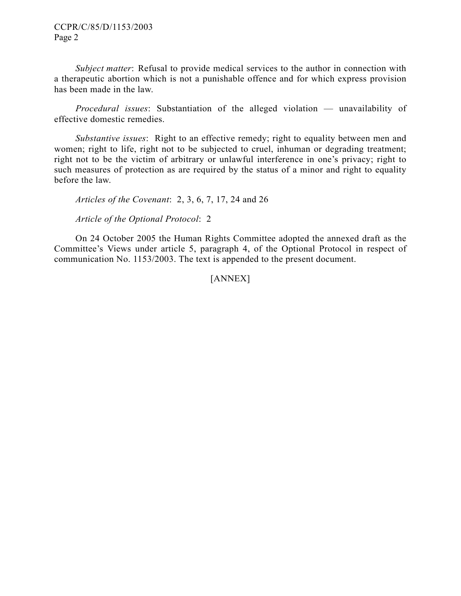Subject matter: Refusal to provide medical services to the author in connection with a therapeutic abortion which is not a punishable offence and for which express provision has been made in the law.

Procedural issues: Substantiation of the alleged violation — unavailability of effective domestic remedies.

Substantive issues: Right to an effective remedy; right to equality between men and women; right to life, right not to be subjected to cruel, inhuman or degrading treatment; right not to be the victim of arbitrary or unlawful interference in one's privacy; right to such measures of protection as are required by the status of a minor and right to equality before the law.

Articles of the Covenant: 2, 3, 6, 7, 17, 24 and 26

Article of the Optional Protocol: 2

 On 24 October 2005 the Human Rights Committee adopted the annexed draft as the Committee's Views under article 5, paragraph 4, of the Optional Protocol in respect of communication No. 1153/2003. The text is appended to the present document.

## [ANNEX]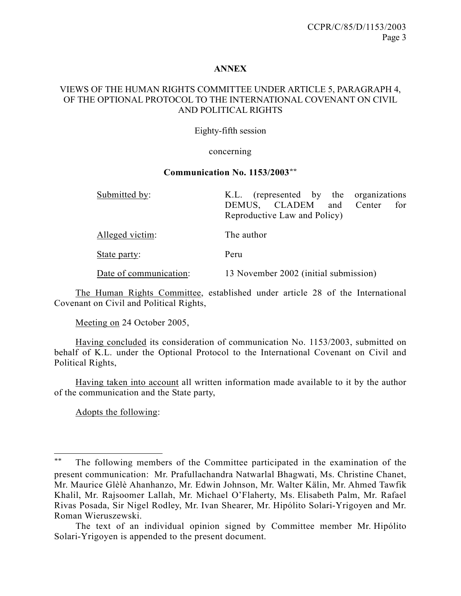#### ANNEX

#### VIEWS OF THE HUMAN RIGHTS COMMITTEE UNDER ARTICLE 5, PARAGRAPH 4, OF THE OPTIONAL PROTOCOL TO THE INTERNATIONAL COVENANT ON CIVIL AND POLITICAL RIGHTS

#### Eighty-fifth session

#### concerning

#### Communication No. 1153/2003\*\*

| Submitted by:          | organizations<br>K.L. (represented by the                       |
|------------------------|-----------------------------------------------------------------|
|                        | DEMUS, CLADEM and Center<br>for<br>Reproductive Law and Policy) |
| Alleged victim:        | The author                                                      |
| State party:           | Peru                                                            |
| Date of communication: | 13 November 2002 (initial submission)                           |

 The Human Rights Committee, established under article 28 of the International Covenant on Civil and Political Rights,

Meeting on 24 October 2005,

 Having concluded its consideration of communication No. 1153/2003, submitted on behalf of K.L. under the Optional Protocol to the International Covenant on Civil and Political Rights,

 Having taken into account all written information made available to it by the author of the communication and the State party,

Adopts the following:

 $**$ The following members of the Committee participated in the examination of the present communication: Mr. Prafullachandra Natwarlal Bhagwati, Ms. Christine Chanet, Mr. Maurice Glèlè Ahanhanzo, Mr. Edwin Johnson, Mr. Walter Kälin, Mr. Ahmed Tawfik Khalil, Mr. Rajsoomer Lallah, Mr. Michael O'Flaherty, Ms. Elisabeth Palm, Mr. Rafael Rivas Posada, Sir Nigel Rodley, Mr. Ivan Shearer, Mr. Hipólito Solari-Yrigoyen and Mr. Roman Wieruszewski.

The text of an individual opinion signed by Committee member Mr. Hipólito Solari-Yrigoyen is appended to the present document.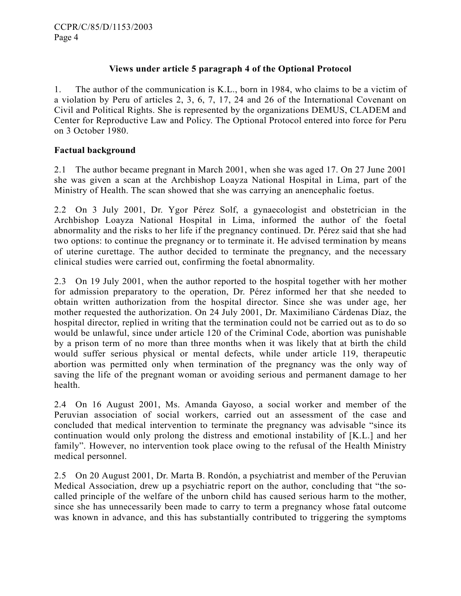## Views under article 5 paragraph 4 of the Optional Protocol

1. The author of the communication is K.L., born in 1984, who claims to be a victim of a violation by Peru of articles 2, 3, 6, 7, 17, 24 and 26 of the International Covenant on Civil and Political Rights. She is represented by the organizations DEMUS, CLADEM and Center for Reproductive Law and Policy. The Optional Protocol entered into force for Peru on 3 October 1980.

# Factual background

2.1 The author became pregnant in March 2001, when she was aged 17. On 27 June 2001 she was given a scan at the Archbishop Loayza National Hospital in Lima, part of the Ministry of Health. The scan showed that she was carrying an anencephalic foetus.

2.2 On 3 July 2001, Dr. Ygor Pérez Solf, a gynaecologist and obstetrician in the Archbishop Loayza National Hospital in Lima, informed the author of the foetal abnormality and the risks to her life if the pregnancy continued. Dr. Pérez said that she had two options: to continue the pregnancy or to terminate it. He advised termination by means of uterine curettage. The author decided to terminate the pregnancy, and the necessary clinical studies were carried out, confirming the foetal abnormality.

2.3 On 19 July 2001, when the author reported to the hospital together with her mother for admission preparatory to the operation, Dr. Pérez informed her that she needed to obtain written authorization from the hospital director. Since she was under age, her mother requested the authorization. On 24 July 2001, Dr. Maximiliano Cárdenas Díaz, the hospital director, replied in writing that the termination could not be carried out as to do so would be unlawful, since under article 120 of the Criminal Code, abortion was punishable by a prison term of no more than three months when it was likely that at birth the child would suffer serious physical or mental defects, while under article 119, therapeutic abortion was permitted only when termination of the pregnancy was the only way of saving the life of the pregnant woman or avoiding serious and permanent damage to her health.

2.4 On 16 August 2001, Ms. Amanda Gayoso, a social worker and member of the Peruvian association of social workers, carried out an assessment of the case and concluded that medical intervention to terminate the pregnancy was advisable "since its continuation would only prolong the distress and emotional instability of [K.L.] and her family". However, no intervention took place owing to the refusal of the Health Ministry medical personnel.

2.5 On 20 August 2001, Dr. Marta B. Rondón, a psychiatrist and member of the Peruvian Medical Association, drew up a psychiatric report on the author, concluding that "the socalled principle of the welfare of the unborn child has caused serious harm to the mother, since she has unnecessarily been made to carry to term a pregnancy whose fatal outcome was known in advance, and this has substantially contributed to triggering the symptoms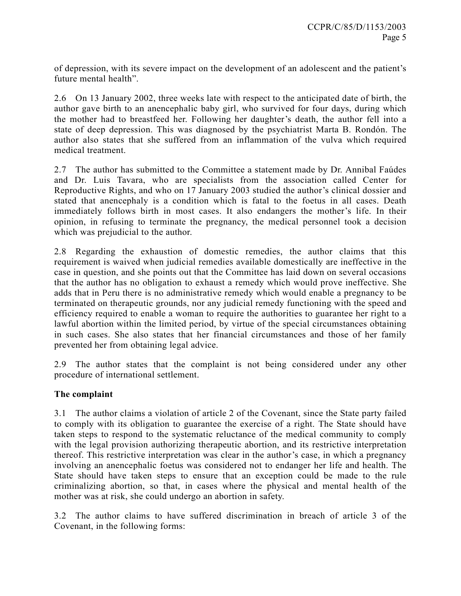of depression, with its severe impact on the development of an adolescent and the patient's future mental health".

2.6 On 13 January 2002, three weeks late with respect to the anticipated date of birth, the author gave birth to an anencephalic baby girl, who survived for four days, during which the mother had to breastfeed her. Following her daughter's death, the author fell into a state of deep depression. This was diagnosed by the psychiatrist Marta B. Rondón. The author also states that she suffered from an inflammation of the vulva which required medical treatment.

2.7 The author has submitted to the Committee a statement made by Dr. Annibal Faúdes and Dr. Luis Tavara, who are specialists from the association called Center for Reproductive Rights, and who on 17 January 2003 studied the author's clinical dossier and stated that anencephaly is a condition which is fatal to the foetus in all cases. Death immediately follows birth in most cases. It also endangers the mother's life. In their opinion, in refusing to terminate the pregnancy, the medical personnel took a decision which was prejudicial to the author.

2.8 Regarding the exhaustion of domestic remedies, the author claims that this requirement is waived when judicial remedies available domestically are ineffective in the case in question, and she points out that the Committee has laid down on several occasions that the author has no obligation to exhaust a remedy which would prove ineffective. She adds that in Peru there is no administrative remedy which would enable a pregnancy to be terminated on therapeutic grounds, nor any judicial remedy functioning with the speed and efficiency required to enable a woman to require the authorities to guarantee her right to a lawful abortion within the limited period, by virtue of the special circumstances obtaining in such cases. She also states that her financial circumstances and those of her family prevented her from obtaining legal advice.

2.9 The author states that the complaint is not being considered under any other procedure of international settlement.

## The complaint

3.1 The author claims a violation of article 2 of the Covenant, since the State party failed to comply with its obligation to guarantee the exercise of a right. The State should have taken steps to respond to the systematic reluctance of the medical community to comply with the legal provision authorizing therapeutic abortion, and its restrictive interpretation thereof. This restrictive interpretation was clear in the author's case, in which a pregnancy involving an anencephalic foetus was considered not to endanger her life and health. The State should have taken steps to ensure that an exception could be made to the rule criminalizing abortion, so that, in cases where the physical and mental health of the mother was at risk, she could undergo an abortion in safety.

3.2 The author claims to have suffered discrimination in breach of article 3 of the Covenant, in the following forms: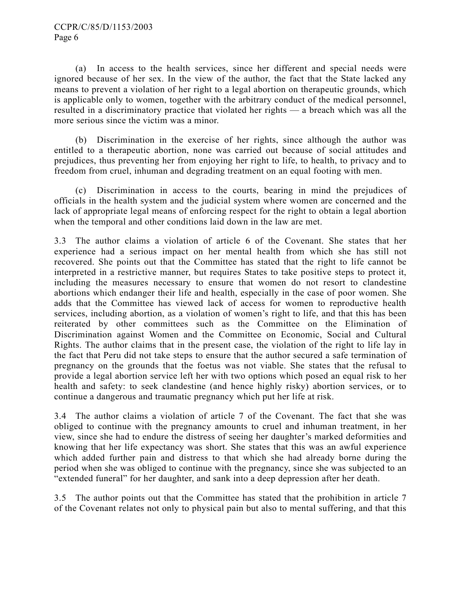(a) In access to the health services, since her different and special needs were ignored because of her sex. In the view of the author, the fact that the State lacked any means to prevent a violation of her right to a legal abortion on therapeutic grounds, which is applicable only to women, together with the arbitrary conduct of the medical personnel, resulted in a discriminatory practice that violated her rights — a breach which was all the more serious since the victim was a minor.

 (b) Discrimination in the exercise of her rights, since although the author was entitled to a therapeutic abortion, none was carried out because of social attitudes and prejudices, thus preventing her from enjoying her right to life, to health, to privacy and to freedom from cruel, inhuman and degrading treatment on an equal footing with men.

 (c) Discrimination in access to the courts, bearing in mind the prejudices of officials in the health system and the judicial system where women are concerned and the lack of appropriate legal means of enforcing respect for the right to obtain a legal abortion when the temporal and other conditions laid down in the law are met.

3.3 The author claims a violation of article 6 of the Covenant. She states that her experience had a serious impact on her mental health from which she has still not recovered. She points out that the Committee has stated that the right to life cannot be interpreted in a restrictive manner, but requires States to take positive steps to protect it, including the measures necessary to ensure that women do not resort to clandestine abortions which endanger their life and health, especially in the case of poor women. She adds that the Committee has viewed lack of access for women to reproductive health services, including abortion, as a violation of women's right to life, and that this has been reiterated by other committees such as the Committee on the Elimination of Discrimination against Women and the Committee on Economic, Social and Cultural Rights. The author claims that in the present case, the violation of the right to life lay in the fact that Peru did not take steps to ensure that the author secured a safe termination of pregnancy on the grounds that the foetus was not viable. She states that the refusal to provide a legal abortion service left her with two options which posed an equal risk to her health and safety: to seek clandestine (and hence highly risky) abortion services, or to continue a dangerous and traumatic pregnancy which put her life at risk.

3.4 The author claims a violation of article 7 of the Covenant. The fact that she was obliged to continue with the pregnancy amounts to cruel and inhuman treatment, in her view, since she had to endure the distress of seeing her daughter's marked deformities and knowing that her life expectancy was short. She states that this was an awful experience which added further pain and distress to that which she had already borne during the period when she was obliged to continue with the pregnancy, since she was subjected to an "extended funeral" for her daughter, and sank into a deep depression after her death.

3.5 The author points out that the Committee has stated that the prohibition in article 7 of the Covenant relates not only to physical pain but also to mental suffering, and that this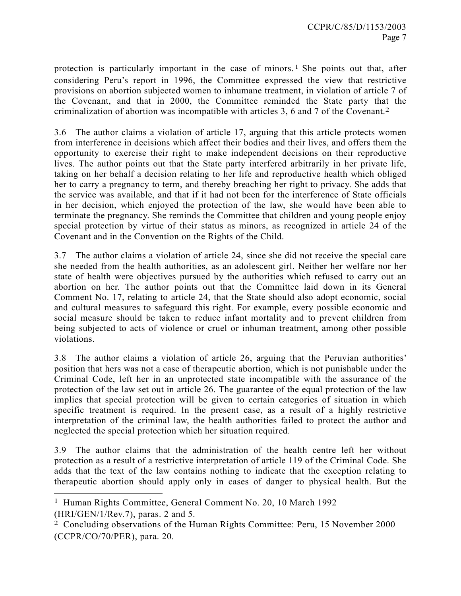protection is particularly important in the case of minors.<sup>1</sup> She points out that, after considering Peru's report in 1996, the Committee expressed the view that restrictive provisions on abortion subjected women to inhumane treatment, in violation of article 7 of the Covenant, and that in 2000, the Committee reminded the State party that the criminalization of abortion was incompatible with articles 3, 6 and 7 of the Covenant.2

3.6 The author claims a violation of article 17, arguing that this article protects women from interference in decisions which affect their bodies and their lives, and offers them the opportunity to exercise their right to make independent decisions on their reproductive lives. The author points out that the State party interfered arbitrarily in her private life, taking on her behalf a decision relating to her life and reproductive health which obliged her to carry a pregnancy to term, and thereby breaching her right to privacy. She adds that the service was available, and that if it had not been for the interference of State officials in her decision, which enjoyed the protection of the law, she would have been able to terminate the pregnancy. She reminds the Committee that children and young people enjoy special protection by virtue of their status as minors, as recognized in article 24 of the Covenant and in the Convention on the Rights of the Child.

3.7 The author claims a violation of article 24, since she did not receive the special care she needed from the health authorities, as an adolescent girl. Neither her welfare nor her state of health were objectives pursued by the authorities which refused to carry out an abortion on her. The author points out that the Committee laid down in its General Comment No. 17, relating to article 24, that the State should also adopt economic, social and cultural measures to safeguard this right. For example, every possible economic and social measure should be taken to reduce infant mortality and to prevent children from being subjected to acts of violence or cruel or inhuman treatment, among other possible violations.

3.8 The author claims a violation of article 26, arguing that the Peruvian authorities' position that hers was not a case of therapeutic abortion, which is not punishable under the Criminal Code, left her in an unprotected state incompatible with the assurance of the protection of the law set out in article 26. The guarantee of the equal protection of the law implies that special protection will be given to certain categories of situation in which specific treatment is required. In the present case, as a result of a highly restrictive interpretation of the criminal law, the health authorities failed to protect the author and neglected the special protection which her situation required.

3.9 The author claims that the administration of the health centre left her without protection as a result of a restrictive interpretation of article 119 of the Criminal Code. She adds that the text of the law contains nothing to indicate that the exception relating to therapeutic abortion should apply only in cases of danger to physical health. But the

-

<sup>1</sup> Human Rights Committee, General Comment No. 20, 10 March 1992 (HRI/GEN/1/Rev.7), paras. 2 and 5.

<sup>&</sup>lt;sup>2</sup> Concluding observations of the Human Rights Committee: Peru, 15 November 2000 (CCPR/CO/70/PER), para. 20.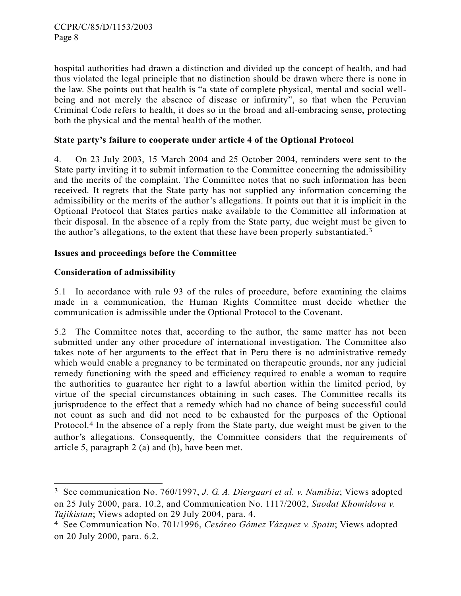hospital authorities had drawn a distinction and divided up the concept of health, and had thus violated the legal principle that no distinction should be drawn where there is none in the law. She points out that health is "a state of complete physical, mental and social wellbeing and not merely the absence of disease or infirmity", so that when the Peruvian Criminal Code refers to health, it does so in the broad and all-embracing sense, protecting both the physical and the mental health of the mother.

#### State party's failure to cooperate under article 4 of the Optional Protocol

4. On 23 July 2003, 15 March 2004 and 25 October 2004, reminders were sent to the State party inviting it to submit information to the Committee concerning the admissibility and the merits of the complaint. The Committee notes that no such information has been received. It regrets that the State party has not supplied any information concerning the admissibility or the merits of the author's allegations. It points out that it is implicit in the Optional Protocol that States parties make available to the Committee all information at their disposal. In the absence of a reply from the State party, due weight must be given to the author's allegations, to the extent that these have been properly substantiated.3

#### Issues and proceedings before the Committee

#### Consideration of admissibility

-

5.1 In accordance with rule 93 of the rules of procedure, before examining the claims made in a communication, the Human Rights Committee must decide whether the communication is admissible under the Optional Protocol to the Covenant.

5.2 The Committee notes that, according to the author, the same matter has not been submitted under any other procedure of international investigation. The Committee also takes note of her arguments to the effect that in Peru there is no administrative remedy which would enable a pregnancy to be terminated on therapeutic grounds, nor any judicial remedy functioning with the speed and efficiency required to enable a woman to require the authorities to guarantee her right to a lawful abortion within the limited period, by virtue of the special circumstances obtaining in such cases. The Committee recalls its jurisprudence to the effect that a remedy which had no chance of being successful could not count as such and did not need to be exhausted for the purposes of the Optional Protocol.<sup>4</sup> In the absence of a reply from the State party, due weight must be given to the author's allegations. Consequently, the Committee considers that the requirements of article 5, paragraph 2 (a) and (b), have been met.

<sup>&</sup>lt;sup>3</sup> See communication No. 760/1997, J. G. A. Diergaart et al. v. Namibia; Views adopted on 25 July 2000, para. 10.2, and Communication No. 1117/2002, Saodat Khomidova v. Tajikistan; Views adopted on 29 July 2004, para. 4.

<sup>&</sup>lt;sup>4</sup> See Communication No. 701/1996, Cesáreo Gómez Vázquez v. Spain; Views adopted on 20 July 2000, para. 6.2.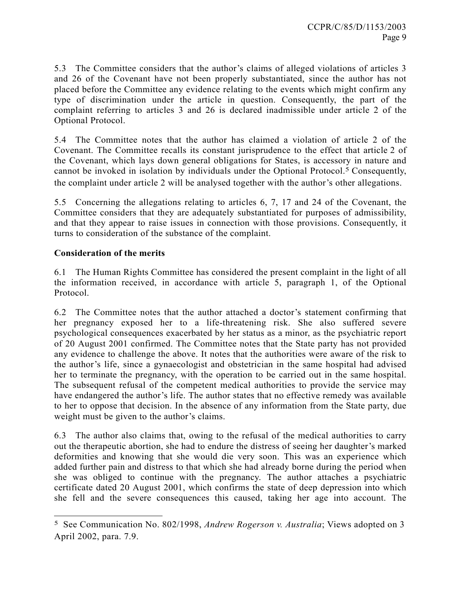5.3 The Committee considers that the author's claims of alleged violations of articles 3 and 26 of the Covenant have not been properly substantiated, since the author has not placed before the Committee any evidence relating to the events which might confirm any type of discrimination under the article in question. Consequently, the part of the complaint referring to articles 3 and 26 is declared inadmissible under article 2 of the Optional Protocol.

5.4 The Committee notes that the author has claimed a violation of article 2 of the Covenant. The Committee recalls its constant jurisprudence to the effect that article 2 of the Covenant, which lays down general obligations for States, is accessory in nature and cannot be invoked in isolation by individuals under the Optional Protocol.<sup>5</sup> Consequently, the complaint under article 2 will be analysed together with the author's other allegations.

5.5 Concerning the allegations relating to articles 6, 7, 17 and 24 of the Covenant, the Committee considers that they are adequately substantiated for purposes of admissibility, and that they appear to raise issues in connection with those provisions. Consequently, it turns to consideration of the substance of the complaint.

## Consideration of the merits

6.1 The Human Rights Committee has considered the present complaint in the light of all the information received, in accordance with article 5, paragraph 1, of the Optional Protocol.

6.2 The Committee notes that the author attached a doctor's statement confirming that her pregnancy exposed her to a life-threatening risk. She also suffered severe psychological consequences exacerbated by her status as a minor, as the psychiatric report of 20 August 2001 confirmed. The Committee notes that the State party has not provided any evidence to challenge the above. It notes that the authorities were aware of the risk to the author's life, since a gynaecologist and obstetrician in the same hospital had advised her to terminate the pregnancy, with the operation to be carried out in the same hospital. The subsequent refusal of the competent medical authorities to provide the service may have endangered the author's life. The author states that no effective remedy was available to her to oppose that decision. In the absence of any information from the State party, due weight must be given to the author's claims.

6.3 The author also claims that, owing to the refusal of the medical authorities to carry out the therapeutic abortion, she had to endure the distress of seeing her daughter's marked deformities and knowing that she would die very soon. This was an experience which added further pain and distress to that which she had already borne during the period when she was obliged to continue with the pregnancy. The author attaches a psychiatric certificate dated 20 August 2001, which confirms the state of deep depression into which she fell and the severe consequences this caused, taking her age into account. The

j <sup>5</sup> See Communication No. 802/1998, Andrew Rogerson v. Australia; Views adopted on 3 April 2002, para. 7.9.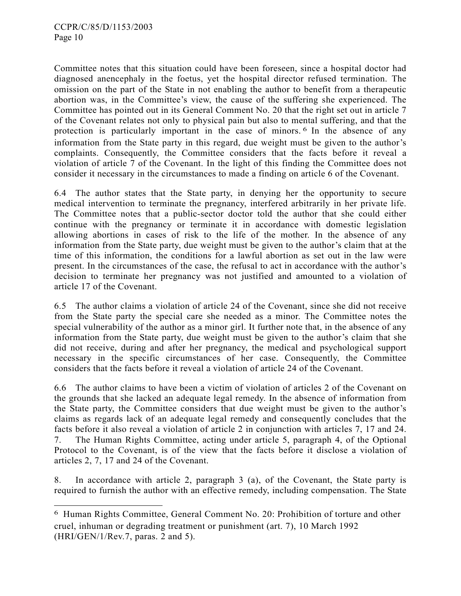l

Committee notes that this situation could have been foreseen, since a hospital doctor had diagnosed anencephaly in the foetus, yet the hospital director refused termination. The omission on the part of the State in not enabling the author to benefit from a therapeutic abortion was, in the Committee's view, the cause of the suffering she experienced. The Committee has pointed out in its General Comment No. 20 that the right set out in article 7 of the Covenant relates not only to physical pain but also to mental suffering, and that the protection is particularly important in the case of minors.<sup>6</sup> In the absence of any information from the State party in this regard, due weight must be given to the author's complaints. Consequently, the Committee considers that the facts before it reveal a violation of article 7 of the Covenant. In the light of this finding the Committee does not consider it necessary in the circumstances to made a finding on article 6 of the Covenant.

6.4 The author states that the State party, in denying her the opportunity to secure medical intervention to terminate the pregnancy, interfered arbitrarily in her private life. The Committee notes that a public-sector doctor told the author that she could either continue with the pregnancy or terminate it in accordance with domestic legislation allowing abortions in cases of risk to the life of the mother. In the absence of any information from the State party, due weight must be given to the author's claim that at the time of this information, the conditions for a lawful abortion as set out in the law were present. In the circumstances of the case, the refusal to act in accordance with the author's decision to terminate her pregnancy was not justified and amounted to a violation of article 17 of the Covenant.

6.5 The author claims a violation of article 24 of the Covenant, since she did not receive from the State party the special care she needed as a minor. The Committee notes the special vulnerability of the author as a minor girl. It further note that, in the absence of any information from the State party, due weight must be given to the author's claim that she did not receive, during and after her pregnancy, the medical and psychological support necessary in the specific circumstances of her case. Consequently, the Committee considers that the facts before it reveal a violation of article 24 of the Covenant.

6.6 The author claims to have been a victim of violation of articles 2 of the Covenant on the grounds that she lacked an adequate legal remedy. In the absence of information from the State party, the Committee considers that due weight must be given to the author's claims as regards lack of an adequate legal remedy and consequently concludes that the facts before it also reveal a violation of article 2 in conjunction with articles 7, 17 and 24. 7. The Human Rights Committee, acting under article 5, paragraph 4, of the Optional Protocol to the Covenant, is of the view that the facts before it disclose a violation of articles 2, 7, 17 and 24 of the Covenant.

8. In accordance with article 2, paragraph 3 (a), of the Covenant, the State party is required to furnish the author with an effective remedy, including compensation. The State

<sup>6</sup> Human Rights Committee, General Comment No. 20: Prohibition of torture and other cruel, inhuman or degrading treatment or punishment (art. 7), 10 March 1992 (HRI/GEN/1/Rev.7, paras. 2 and 5).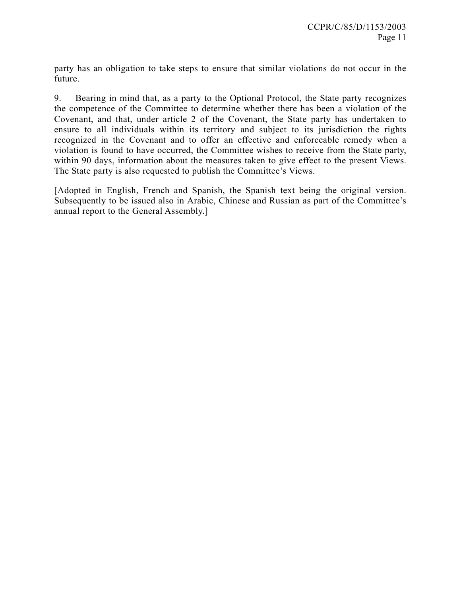party has an obligation to take steps to ensure that similar violations do not occur in the future.

9. Bearing in mind that, as a party to the Optional Protocol, the State party recognizes the competence of the Committee to determine whether there has been a violation of the Covenant, and that, under article 2 of the Covenant, the State party has undertaken to ensure to all individuals within its territory and subject to its jurisdiction the rights recognized in the Covenant and to offer an effective and enforceable remedy when a violation is found to have occurred, the Committee wishes to receive from the State party, within 90 days, information about the measures taken to give effect to the present Views. The State party is also requested to publish the Committee's Views.

[Adopted in English, French and Spanish, the Spanish text being the original version. Subsequently to be issued also in Arabic, Chinese and Russian as part of the Committee's annual report to the General Assembly.]